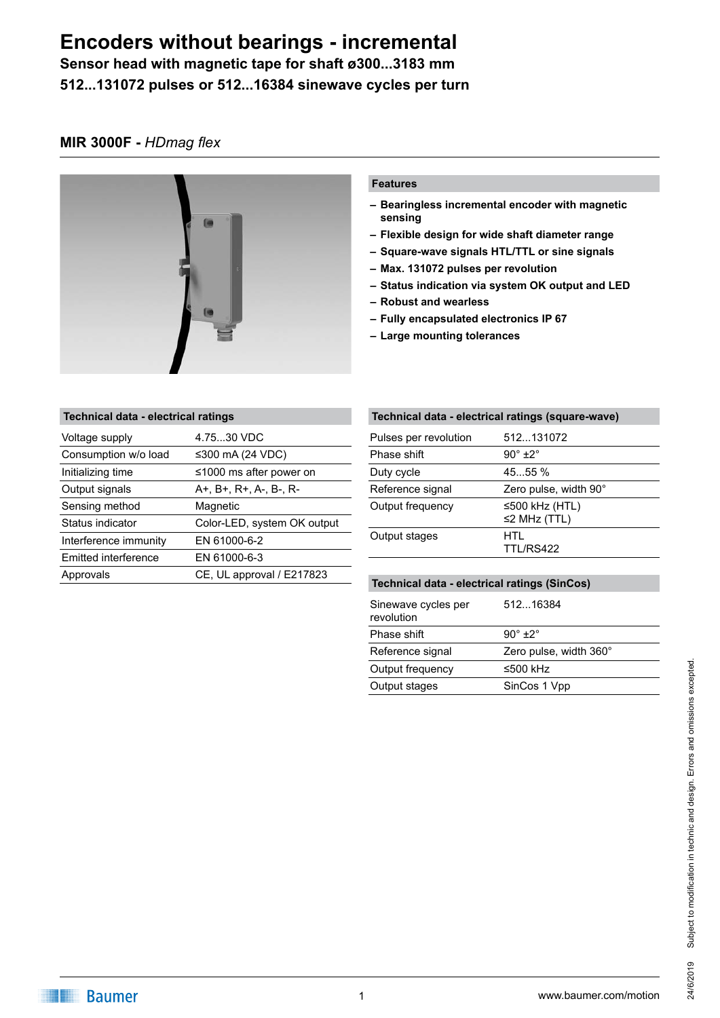**Sensor head with magnetic tape for shaft ø300...3183 mm 512...131072 pulses or 512...16384 sinewave cycles per turn**

#### **MIR 3000F -** *HDmag flex*



#### **Features**

- **– Bearingless incremental encoder with magnetic sensing**
- **– Flexible design for wide shaft diameter range**
- **– Square-wave signals HTL/TTL or sine signals**
- **– Max. 131072 pulses per revolution**
- **– Status indication via system OK output and LED**
- **– Robust and wearless**
- **– Fully encapsulated electronics IP 67**
- **– Large mounting tolerances**

| Technical data - electrical ratings |                               |
|-------------------------------------|-------------------------------|
| Voltage supply                      | 4.7530 VDC                    |
| Consumption w/o load                | ≤300 mA (24 VDC)              |
| Initializing time                   | $\leq 1000$ ms after power on |
| Output signals                      | A+, B+, R+, A-, B-, R-        |
| Sensing method                      | Magnetic                      |
| Status indicator                    | Color-LED, system OK output   |
| Interference immunity               | EN 61000-6-2                  |
| Emitted interference                | EN 61000-6-3                  |
| Approvals                           | CE, UL approval / E217823     |
|                                     |                               |

| Technical data - electrical ratings (square-wave) |                                      |
|---------------------------------------------------|--------------------------------------|
| Pulses per revolution                             | 512131072                            |
| Phase shift                                       | $90^\circ \pm 2^\circ$               |
| Duty cycle                                        | 45.55 %                              |
| Reference signal                                  | Zero pulse, width 90°                |
| Output frequency                                  | ≤500 kHz (HTL)<br>$\leq$ 2 MHz (TTL) |
| Output stages                                     | HTL<br>TTL/RS422                     |

| Technical data - electrical ratings (SinCos) |                        |  |
|----------------------------------------------|------------------------|--|
| Sinewave cycles per<br>revolution            | 51216384               |  |
| Phase shift                                  | $90^\circ + 2^\circ$   |  |
| Reference signal                             | Zero pulse, width 360° |  |
| Output frequency                             | ≤500 kHz               |  |
| Output stages                                | SinCos 1 Vpp           |  |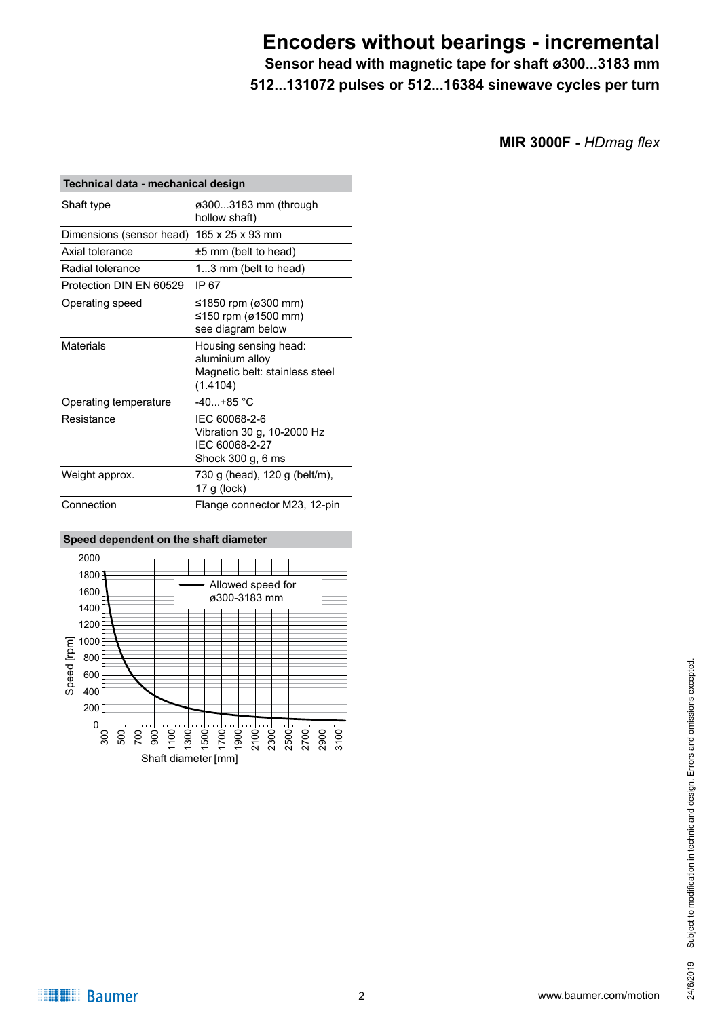**Sensor head with magnetic tape for shaft ø300...3183 mm 512...131072 pulses or 512...16384 sinewave cycles per turn**

**MIR 3000F -** *HDmag flex*

| Technical data - mechanical design |                                                                                        |  |
|------------------------------------|----------------------------------------------------------------------------------------|--|
| Shaft type                         | ø3003183 mm (through<br>hollow shaft)                                                  |  |
| Dimensions (sensor head)           | 165 x 25 x 93 mm                                                                       |  |
| Axial tolerance                    | $±5$ mm (belt to head)                                                                 |  |
| Radial tolerance                   | 13 mm (belt to head)                                                                   |  |
| Protection DIN FN 60529            | IP 67                                                                                  |  |
| Operating speed                    | ≤1850 rpm (ø300 mm)<br>≤150 rpm (ø1500 mm)<br>see diagram below                        |  |
| Materials                          | Housing sensing head:<br>aluminium alloy<br>Magnetic belt: stainless steel<br>(1.4104) |  |
| Operating temperature              | $-40+85$ °C                                                                            |  |
| Resistance                         | IEC 60068-2-6<br>Vibration 30 g, 10-2000 Hz<br>IFC 60068-2-27<br>Shock 300 g, 6 ms     |  |
| Weight approx.                     | 730 g (head), 120 g (belt/m),<br>17 g ( $lock$ )                                       |  |
| Connection                         | Flange connector M23, 12-pin                                                           |  |

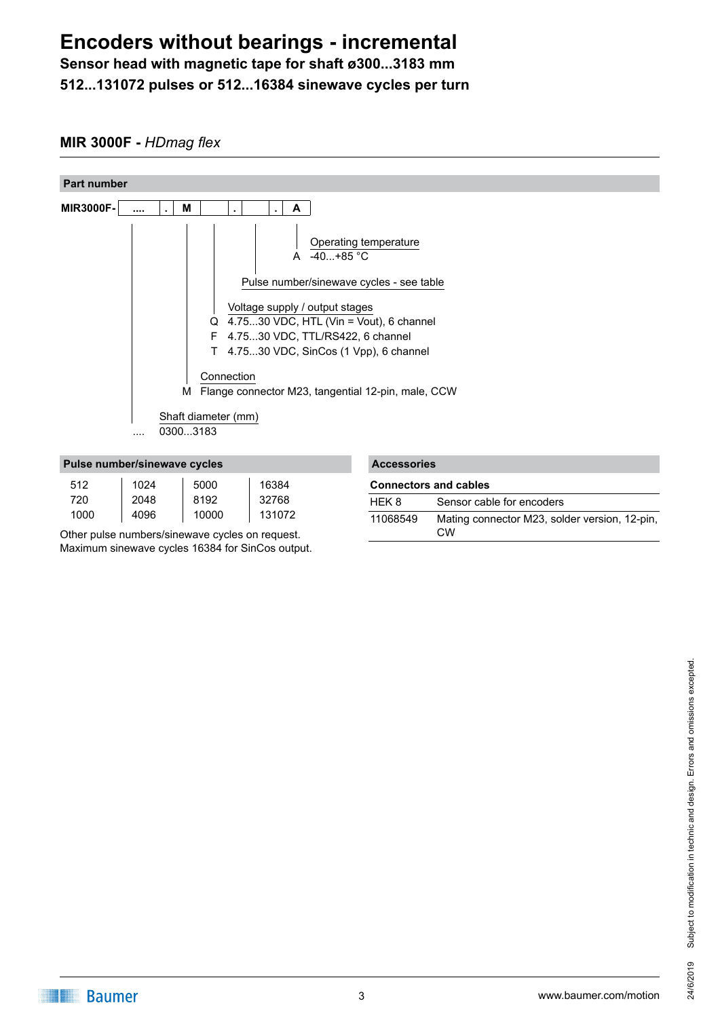**Sensor head with magnetic tape for shaft ø300...3183 mm 512...131072 pulses or 512...16384 sinewave cycles per turn**

### **MIR 3000F -** *HDmag flex*



|      | <u>. aluu Hallinulluulluutu vyuluu</u> |       |        |
|------|----------------------------------------|-------|--------|
| 512  | 1024                                   | 5000  | 16384  |
| 720  | 2048                                   | 8192  | 32768  |
| 1000 | 4096                                   | 10000 | 131072 |

Other pulse numbers/sinewave cycles on request. Maximum sinewave cycles 16384 for SinCos output.

| <b>Accessories</b>           |                                                            |
|------------------------------|------------------------------------------------------------|
| <b>Connectors and cables</b> |                                                            |
| HEK 8                        | Sensor cable for encoders                                  |
| 11068549                     | Mating connector M23, solder version, 12-pin,<br><b>CW</b> |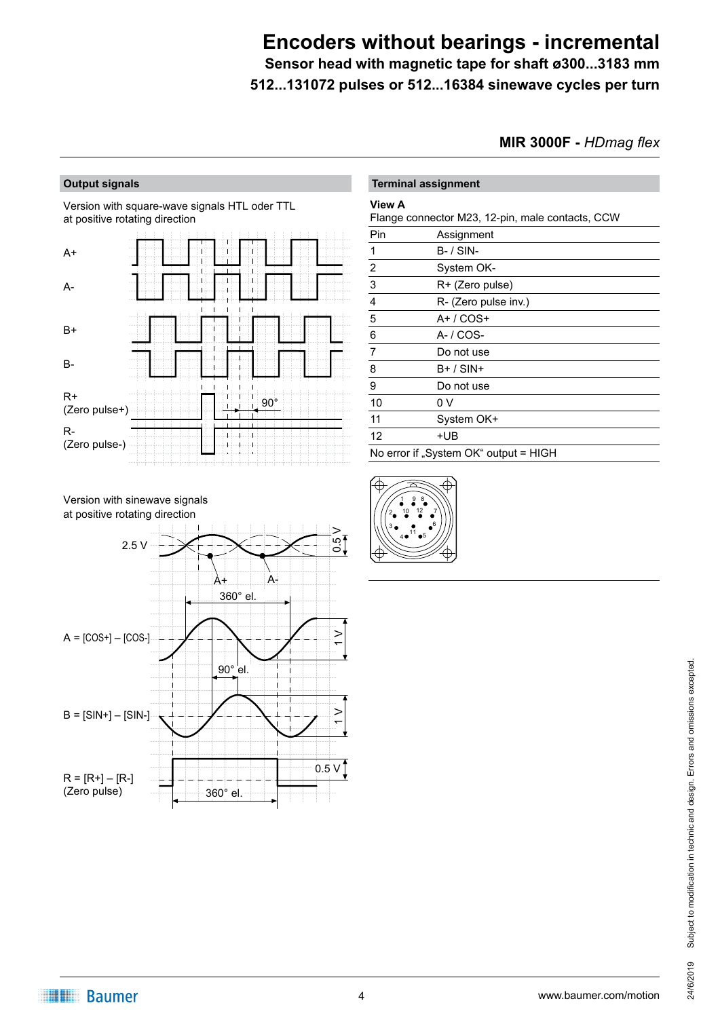**Sensor head with magnetic tape for shaft ø300...3183 mm 512...131072 pulses or 512...16384 sinewave cycles per turn**

**MIR 3000F -** *HDmag flex*

#### **Output signals**

Version with square-wave signals HTL oder TTL at positive rotating direction



|                | <b>Terminal assignment</b>                       |
|----------------|--------------------------------------------------|
| <b>View A</b>  | Flange connector M23, 12-pin, male contacts, CCW |
| Pin            | Assignment                                       |
| 1              | $B - /$ SIN-                                     |
| $\overline{2}$ | System OK-                                       |
| 3              | R+ (Zero pulse)                                  |
| 4              | R- (Zero pulse inv.)                             |
| 5              | $A+ / COS+$                                      |
| 6              | $A - / COS -$                                    |
| 7              | Do not use                                       |
| 8              | $B+ / SIM+$                                      |
| 9              | Do not use                                       |
| 10             | 0 V                                              |
| 11             | System OK+                                       |
| 12             | +UB                                              |
|                | No error if "System OK" output = HIGH            |